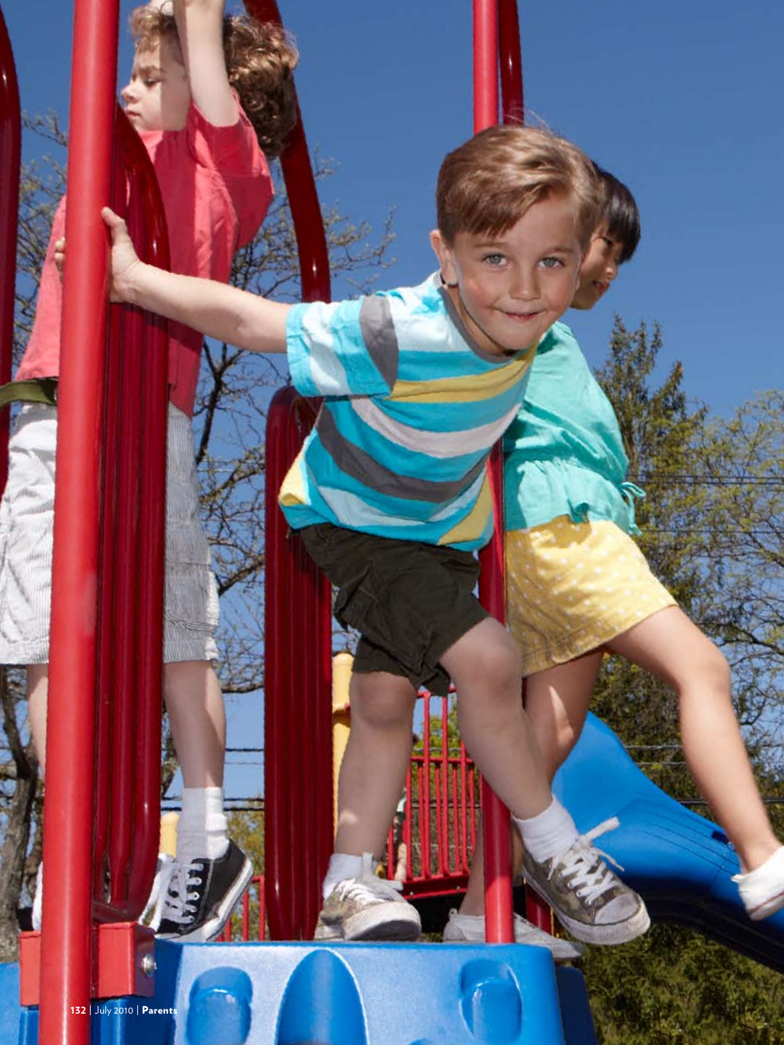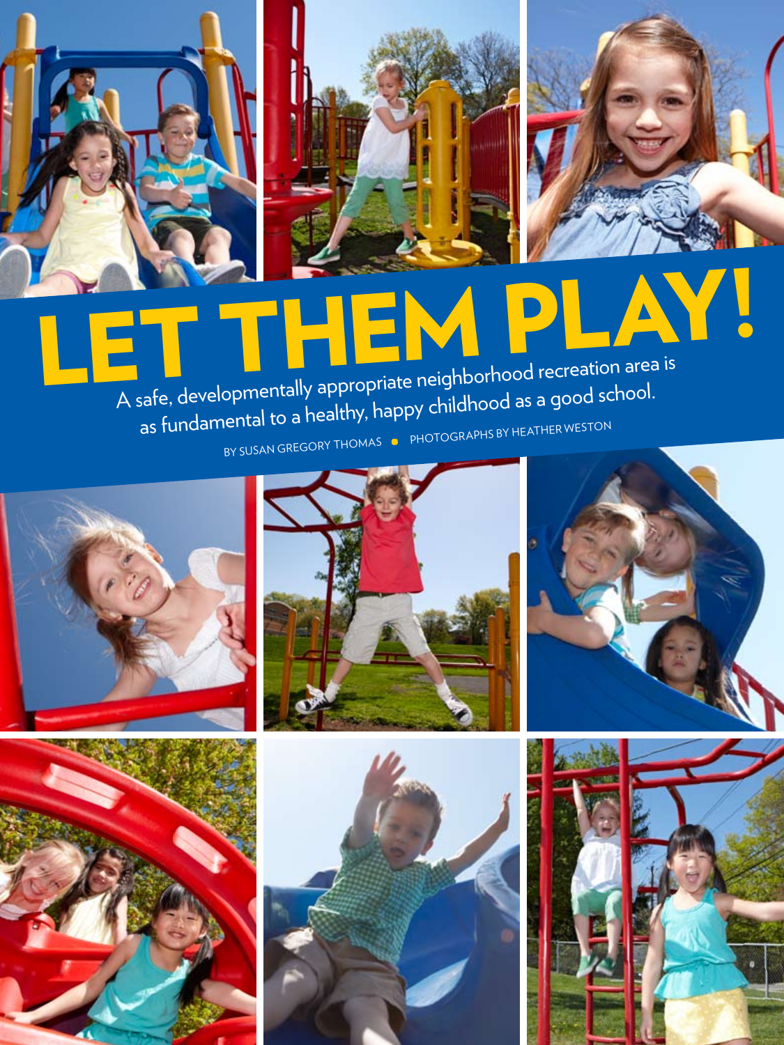

# LET THEM PLAY! A safe, developmentally appropriate neighborhood recreation area is

as fundamental to a healthy, happy childhood as a good school. BY SUSAN GREGORY THOMAS P PHOTOGRAPHS BY HEATHER WESTON











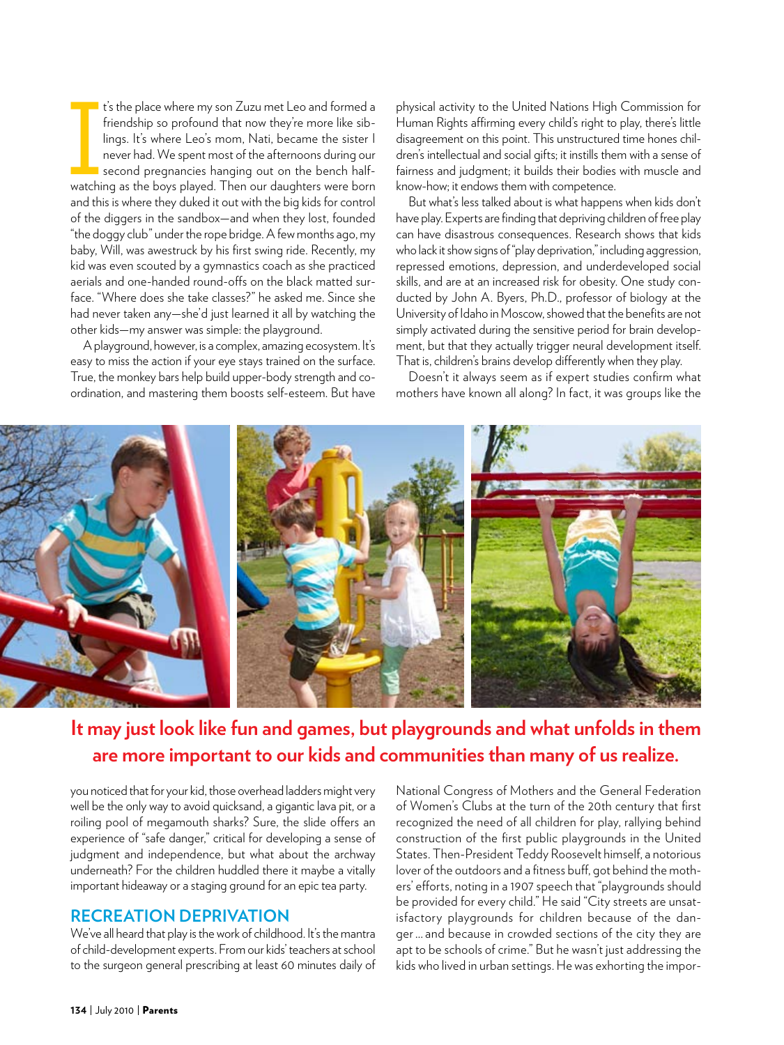t's the place where my son Zuzu met Leo and formed a<br>friendship so profound that now they're more like sib-<br>lings. It's where Leo's mom, Nati, became the sister I<br>never had. We spent most of the afternoons during our<br>secon t's the place where my son Zuzu met Leo and formed a friendship so profound that now they're more like siblings. It's where Leo's mom, Nati, became the sister I never had. We spent most of the afternoons during our second pregnancies hanging out on the bench halfand this is where they duked it out with the big kids for control of the diggers in the sandbox—and when they lost, founded "the doggy club" under the rope bridge. A few months ago, my baby, Will, was awestruck by his first swing ride. Recently, my kid was even scouted by a gymnastics coach as she practiced aerials and one-handed round-offs on the black matted surface. "Where does she take classes?" he asked me. Since she had never taken any—she'd just learned it all by watching the other kids—my answer was simple: the playground.

A playground, however, is a complex, amazing ecosystem. It's easy to miss the action if your eye stays trained on the surface. True, the monkey bars help build upper-body strength and coordination, and mastering them boosts self-esteem. But have

physical activity to the United Nations High Commission for Human Rights affirming every child's right to play, there's little disagreement on this point. This unstructured time hones children's intellectual and social gifts; it instills them with a sense of fairness and judgment; it builds their bodies with muscle and know-how; it endows them with competence.

But what's less talked about is what happens when kids don't have play. Experts are finding that depriving children of free play can have disastrous consequences. Research shows that kids who lack it show signs of "play deprivation," including aggression, repressed emotions, depression, and underdeveloped social skills, and are at an increased risk for obesity. One study conducted by John A. Byers, Ph.D., professor of biology at the University of Idaho in Moscow, showed that the benefits are not simply activated during the sensitive period for brain development, but that they actually trigger neural development itself. That is, children's brains develop differently when they play.

Doesn't it always seem as if expert studies confirm what mothers have known all along? In fact, it was groups like the



#### **It may just look like fun and games, but playgrounds and what unfolds in them are more important to our kids and communities than many of us realize.**

you noticed that for your kid, those overhead ladders might very well be the only way to avoid quicksand, a gigantic lava pit, or a roiling pool of megamouth sharks? Sure, the slide offers an experience of "safe danger," critical for developing a sense of judgment and independence, but what about the archway underneath? For the children huddled there it maybe a vitally important hideaway or a staging ground for an epic tea party.

#### **Recreation Deprivation**

We've all heard that play is the work of childhood. It's the mantra of child-development experts. From our kids' teachers at school to the surgeon general prescribing at least 60 minutes daily of National Congress of Mothers and the General Federation of Women's Clubs at the turn of the 20th century that first recognized the need of all children for play, rallying behind construction of the first public playgrounds in the United States. Then-President Teddy Roosevelt himself, a notorious lover of the outdoors and a fitness buff, got behind the mothers' efforts, noting in a 1907 speech that "playgrounds should be provided for every child." He said "City streets are unsatisfactory playgrounds for children because of the danger … and because in crowded sections of the city they are apt to be schools of crime." But he wasn't just addressing the kids who lived in urban settings. He was exhorting the impor-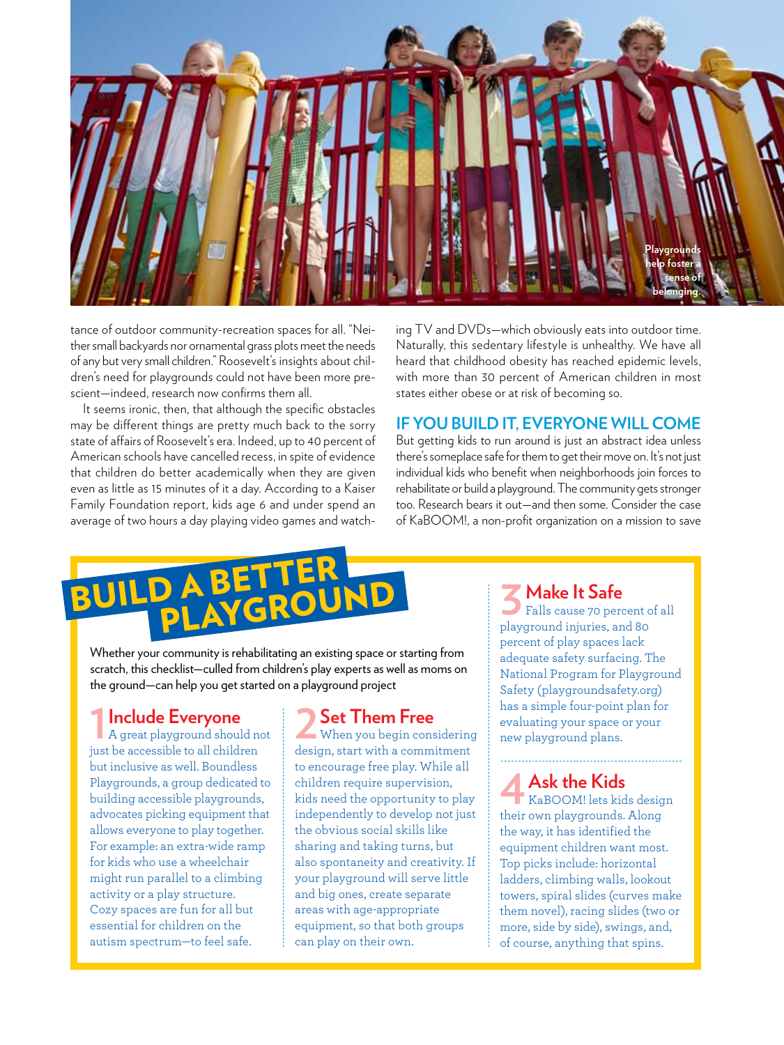

tance of outdoor community-recreation spaces for all. "Neither small backyards nor ornamental grass plots meet the needs of any but very small children." Roosevelt's insights about children's need for playgrounds could not have been more prescient—indeed, research now confirms them all.

It seems ironic, then, that although the specific obstacles may be different things are pretty much back to the sorry state of affairs of Roosevelt's era. Indeed, up to 40 percent of American schools have cancelled recess, in spite of evidence that children do better academically when they are given even as little as 15 minutes of it a day. According to a Kaiser Family Foundation report, kids age 6 and under spend an average of two hours a day playing video games and watch-

ing TV and DVDs—which obviously eats into outdoor time. Naturally, this sedentary lifestyle is unhealthy. We have all heard that childhood obesity has reached epidemic levels, with more than 30 percent of American children in most states either obese or at risk of becoming so.

#### **If You Build it, Everyone Will Come**

But getting kids to run around is just an abstract idea unless there's someplace safe for them to get their move on. It's not just individual kids who benefit when neighborhoods join forces to rehabilitate or build a playground. The community gets stronger too. Research bears it out—and then some. Consider the case of KaBOOM!, a non-profit organization on a mission to save

## BUILD A BETTER BUILD A BELLOUND

Whether your community is rehabilitating an existing space or starting from scratch, this checklist—culled from children's play experts as well as moms on the ground—can help you get started on a playground project

#### **1Include Everyone**

A great playground should not just be accessible to all children but inclusive as well. Boundless Playgrounds, a group dedicated to building accessible playgrounds, advocates picking equipment that allows everyone to play together. For example: an extra-wide ramp for kids who use a wheelchair might run parallel to a climbing activity or a play structure. Cozy spaces are fun for all but essential for children on the autism spectrum—to feel safe.

#### **2Set Them Free**

When you begin considering design, start with a commitment to encourage free play. While all children require supervision, kids need the opportunity to play independently to develop not just the obvious social skills like sharing and taking turns, but also spontaneity and creativity. If your playground will serve little and big ones, create separate areas with age-appropriate equipment, so that both groups can play on their own.

#### **3Make It Safe**

Falls cause 70 percent of all playground injuries, and 80 percent of play spaces lack adequate safety surfacing. The National Program for Playground Safety (playgroundsafety.org) has a simple four-point plan for evaluating your space or your new playground plans.

#### **4Ask the Kids**

KaBOOM! lets kids design their own playgrounds. Along the way, it has identified the equipment children want most. Top picks include: horizontal ladders, climbing walls, lookout towers, spiral slides (curves make them novel), racing slides (two or more, side by side), swings, and, of course, anything that spins.